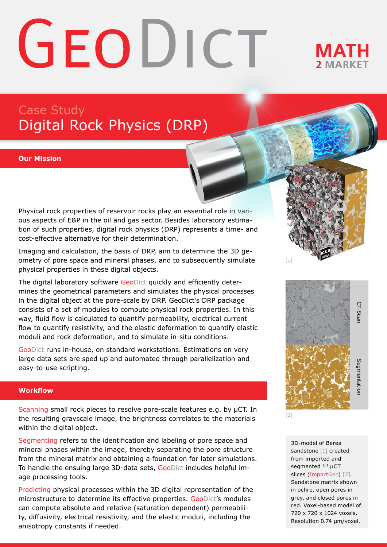# GEODICT

## **MATH**

### Case Study Digital Rock Physics (DRP)

#### **Our Mission**

Physical rock properties of reservoir rocks play an essential role in various aspects of E&P in the oil and gas sector. Besides laboratory estimation of such properties, digital rock physics (DRP) represents a time- and cost-effective alternative for their determination.

Imaging and calculation, the basis of DRP, aim to determine the 3D geometry of pore space and mineral phases, and to subsequently simulate physical properties in these digital objects.

The digital laboratory software GeoDict quickly and efficiently determines the geometrical parameters and simulates the physical processes in the digital object at the pore-scale by DRP. GeoDict's DRP package consists of a set of modules to compute physical rock properties. In this way, fluid flow is calculated to quantify permeability, electrical current flow to quantify resistivity, and the elastic deformation to quantify elastic moduli and rock deformation, and to simulate in-situ conditions.

GeoDict runs in-house, on standard workstations. Estimations on very large data sets are sped up and automated through parallelization and easy-to-use scripting.

#### **Workflow**

Scanning small rock pieces to resolve pore-scale features e.g. by μCT. In the resulting grayscale image, the brightness correlates to the materials within the digital object.

Segmenting refers to the identification and labeling of pore space and mineral phases within the image, thereby separating the pore structure from the mineral matrix and obtaining a foundation for later simulations. To handle the ensuing large 3D-data sets, GeoDict includes helpful image processing tools.

Predicting physical processes within the 3D digital representation of the microstructure to determine its effective properties. GeoDict's modules can compute absolute and relative (saturation dependent) permeability, diffusivity, electrical resistivity, and the elastic moduli, including the anisotropy constants if needed.



[2]

[1]

3D-model of Berea sandstone [1] created from imported and segmented <sup>1, 2</sup> µCT slices (ImportGeo) [2]. Sandstone matrix shown in ochre, open pores in grey, and closed pores in red. Voxel-based model of 720 x 720 x 1024 voxels.